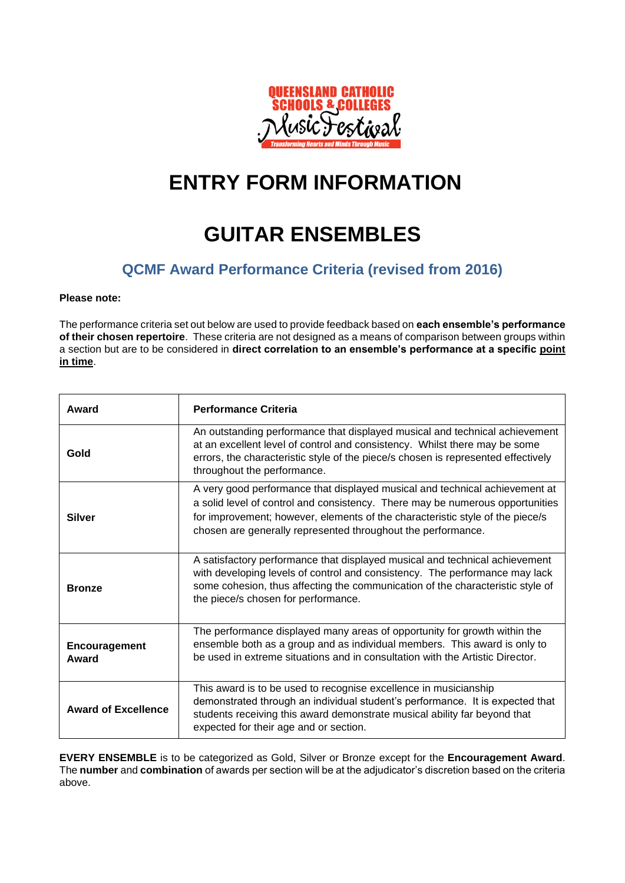

## **ENTRY FORM INFORMATION**

## **GUITAR ENSEMBLES**

### **QCMF Award Performance Criteria (revised from 2016)**

#### **Please note:**

The performance criteria set out below are used to provide feedback based on **each ensemble's performance of their chosen repertoire**. These criteria are not designed as a means of comparison between groups within a section but are to be considered in **direct correlation to an ensemble's performance at a specific point in time**.

| Award                      | <b>Performance Criteria</b>                                                                                                                                                                                                                                                                                   |
|----------------------------|---------------------------------------------------------------------------------------------------------------------------------------------------------------------------------------------------------------------------------------------------------------------------------------------------------------|
| Gold                       | An outstanding performance that displayed musical and technical achievement<br>at an excellent level of control and consistency. Whilst there may be some<br>errors, the characteristic style of the piece/s chosen is represented effectively<br>throughout the performance.                                 |
| <b>Silver</b>              | A very good performance that displayed musical and technical achievement at<br>a solid level of control and consistency. There may be numerous opportunities<br>for improvement; however, elements of the characteristic style of the piece/s<br>chosen are generally represented throughout the performance. |
| <b>Bronze</b>              | A satisfactory performance that displayed musical and technical achievement<br>with developing levels of control and consistency. The performance may lack<br>some cohesion, thus affecting the communication of the characteristic style of<br>the piece/s chosen for performance.                           |
| Encouragement<br>Award     | The performance displayed many areas of opportunity for growth within the<br>ensemble both as a group and as individual members. This award is only to<br>be used in extreme situations and in consultation with the Artistic Director.                                                                       |
| <b>Award of Excellence</b> | This award is to be used to recognise excellence in musicianship<br>demonstrated through an individual student's performance. It is expected that<br>students receiving this award demonstrate musical ability far beyond that<br>expected for their age and or section.                                      |

**EVERY ENSEMBLE** is to be categorized as Gold, Silver or Bronze except for the **Encouragement Award**. The **number** and **combination** of awards per section will be at the adjudicator's discretion based on the criteria above.